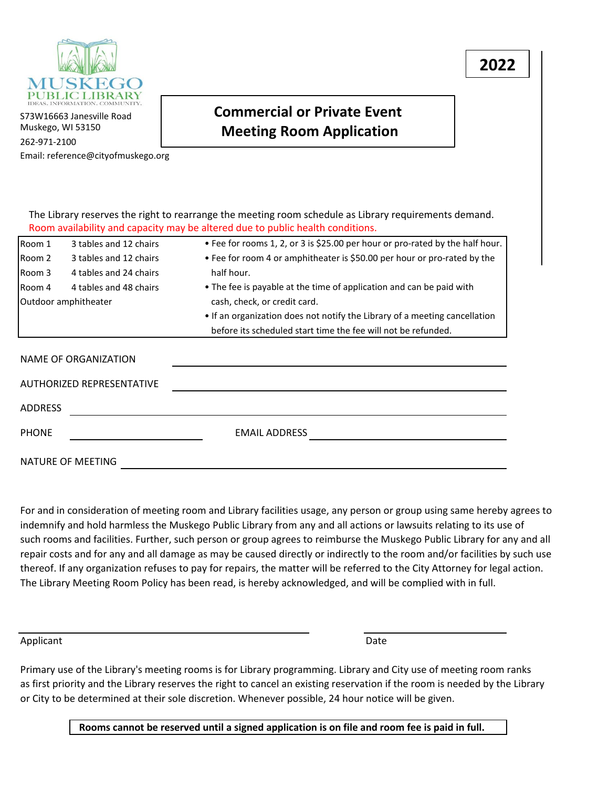

S73W16663 Janesville Road Muskego, WI 53150 262-971-2100 Email: reference@cityofmuskego.org

## **Commercial or Private Event Meeting Room Application**

|                |                                  | The Library reserves the right to rearrange the meeting room schedule as Library requirements demand.<br>Room availability and capacity may be altered due to public health conditions. |
|----------------|----------------------------------|-----------------------------------------------------------------------------------------------------------------------------------------------------------------------------------------|
| Room 1         | 3 tables and 12 chairs           | • Fee for rooms 1, 2, or 3 is \$25.00 per hour or pro-rated by the half hour.                                                                                                           |
| Room 2         | 3 tables and 12 chairs           | • Fee for room 4 or amphitheater is \$50.00 per hour or pro-rated by the                                                                                                                |
| Room 3         | 4 tables and 24 chairs           | half hour.                                                                                                                                                                              |
| Room 4         | 4 tables and 48 chairs           | • The fee is payable at the time of application and can be paid with                                                                                                                    |
|                | Outdoor amphitheater             | cash, check, or credit card.                                                                                                                                                            |
|                |                                  | • If an organization does not notify the Library of a meeting cancellation                                                                                                              |
|                |                                  | before its scheduled start time the fee will not be refunded.                                                                                                                           |
|                | NAME OF ORGANIZATION             |                                                                                                                                                                                         |
|                | <b>AUTHORIZED REPRESENTATIVE</b> |                                                                                                                                                                                         |
| <b>ADDRESS</b> |                                  |                                                                                                                                                                                         |
| <b>PHONE</b>   |                                  | <b>EMAIL ADDRESS</b>                                                                                                                                                                    |
|                | NATURE OF MEETING                |                                                                                                                                                                                         |

For and in consideration of meeting room and Library facilities usage, any person or group using same hereby agrees to indemnify and hold harmless the Muskego Public Library from any and all actions or lawsuits relating to its use of such rooms and facilities. Further, such person or group agrees to reimburse the Muskego Public Library for any and all repair costs and for any and all damage as may be caused directly or indirectly to the room and/or facilities by such use thereof. If any organization refuses to pay for repairs, the matter will be referred to the City Attorney for legal action. The Library Meeting Room Policy has been read, is hereby acknowledged, and will be complied with in full.

Applicant Date

Primary use of the Library's meeting rooms is for Library programming. Library and City use of meeting room ranks as first priority and the Library reserves the right to cancel an existing reservation if the room is needed by the Library or City to be determined at their sole discretion. Whenever possible, 24 hour notice will be given.

**Rooms cannot be reserved until a signed application is on file and room fee is paid in full.**